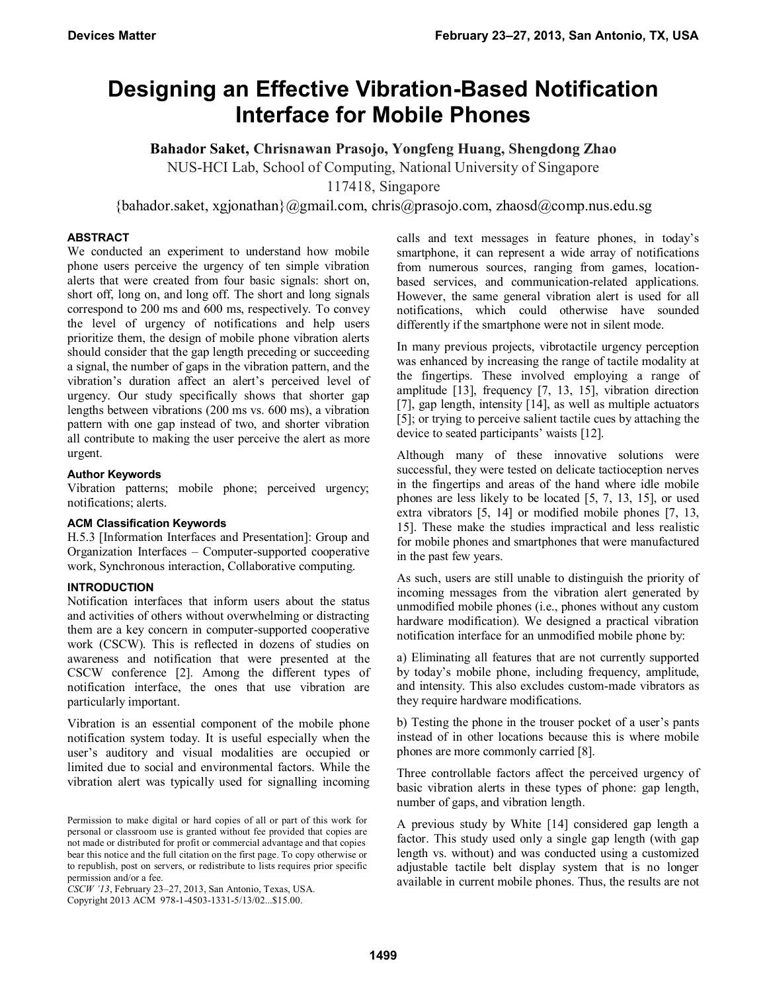# **Designing an Effective Vibration-Based Notification Interface for Mobile Phones**

**Bahador Saket, Chrisnawan Prasojo, Yongfeng Huang, Shengdong Zhao**

NUS-HCI Lab, School of Computing, National University of Singapore

117418, Singapore

{bahador.saket, [xgjonathan}@gmail.com,](mailto:bahador.saket,%20xgjonathan%7d@gmail.com) [chris@prasojo.com,](mailto:chris@prasojo.com) [zhaosd@comp.nus.edu.sg](mailto:zhaosd@comp.nus.edu.sg)

# **ABSTRACT**

We conducted an experiment to understand how mobile phone users perceive the urgency of ten simple vibration alerts that were created from four basic signals: short on, short off, long on, and long off. The short and long signals correspond to 200 ms and 600 ms, respectively. To convey the level of urgency of notifications and help users prioritize them, the design of mobile phone vibration alerts should consider that the gap length preceding or succeeding a signal, the number of gaps in the vibration pattern, and the vibration's duration affect an alert's perceived level of urgency. Our study specifically shows that shorter gap lengths between vibrations (200 ms vs. 600 ms), a vibration pattern with one gap instead of two, and shorter vibration all contribute to making the user perceive the alert as more urgent.

# **Author Keywords**

Vibration patterns; mobile phone; perceived urgency; notifications; alerts.

# **ACM Classification Keywords**

H.5.3 [Information Interfaces and Presentation]: Group and Organization Interfaces – Computer-supported cooperative work, Synchronous interaction, Collaborative computing.

# **INTRODUCTION**

Notification interfaces that inform users about the status and activities of others without overwhelming or distracting them are a key concern in computer-supported cooperative work (CSCW). This is reflected in dozens of studies on awareness and notification that were presented at the CSCW conference [2]. Among the different types of notification interface, the ones that use vibration are particularly important.

Vibration is an essential component of the mobile phone notification system today. It is useful especially when the user's auditory and visual modalities are occupied or limited due to social and environmental factors. While the vibration alert was typically used for signalling incoming

*CSCW '13*, February 23–27, 2013, San Antonio, Texas, USA.

Copyright 2013 ACM 978-1-4503-1331-5/13/02...\$15.00.

calls and text messages in feature phones, in today's smartphone, it can represent a wide array of notifications from numerous sources, ranging from games, locationbased services, and communication-related applications. However, the same general vibration alert is used for all notifications, which could otherwise have sounded differently if the smartphone were not in silent mode.

In many previous projects, vibrotactile urgency perception was enhanced by increasing the range of tactile modality at the fingertips. These involved employing a range of amplitude [13], frequency [7, 13, 15], vibration direction [7], gap length, intensity [14], as well as multiple actuators [5]; or trying to perceive salient tactile cues by attaching the device to seated participants' waists [12].

Although many of these innovative solutions were successful, they were tested on delicate tactioception nerves in the fingertips and areas of the hand where idle mobile phones are less likely to be located [5, 7, 13, 15], or used extra vibrators [5, 14] or modified mobile phones [7, 13, 15]. These make the studies impractical and less realistic for mobile phones and smartphones that were manufactured in the past few years.

As such, users are still unable to distinguish the priority of incoming messages from the vibration alert generated by unmodified mobile phones (i.e., phones without any custom hardware modification). We designed a practical vibration notification interface for an unmodified mobile phone by:

a) Eliminating all features that are not currently supported by today's mobile phone, including frequency, amplitude, and intensity. This also excludes custom-made vibrators as they require hardware modifications.

b) Testing the phone in the trouser pocket of a user's pants instead of in other locations because this is where mobile phones are more commonly carried [8].

Three controllable factors affect the perceived urgency of basic vibration alerts in these types of phone: gap length, number of gaps, and vibration length.

A previous study by White [14] considered gap length a factor. This study used only a single gap length (with gap length vs. without) and was conducted using a customized adjustable tactile belt display system that is no longer available in current mobile phones. Thus, the results are not

Permission to make digital or hard copies of all or part of this work for personal or classroom use is granted without fee provided that copies are not made or distributed for profit or commercial advantage and that copies bear this notice and the full citation on the first page. To copy otherwise or to republish, post on servers, or redistribute to lists requires prior specific permission and/or a fee.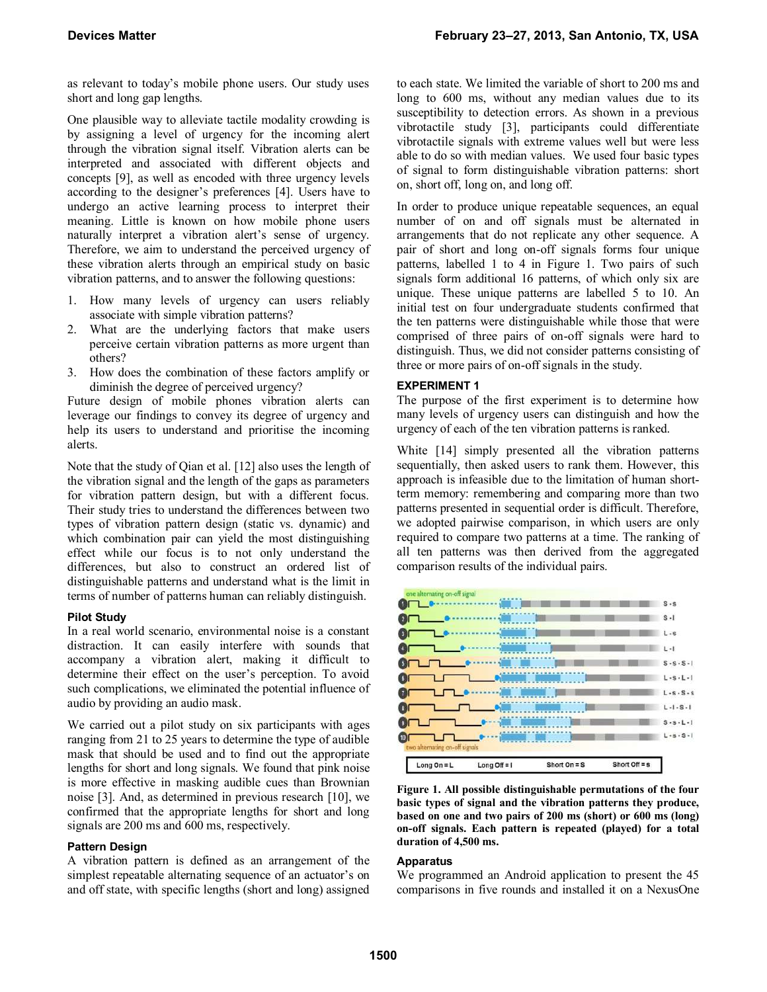as relevant to today's mobile phone users. Our study uses short and long gap lengths.

One plausible way to alleviate tactile modality crowding is by assigning a level of urgency for the incoming alert through the vibration signal itself. Vibration alerts can be interpreted and associated with different objects and concepts [9], as well as encoded with three urgency levels according to the designer's preferences [4]. Users have to undergo an active learning process to interpret their meaning. Little is known on how mobile phone users naturally interpret a vibration alert's sense of urgency. Therefore, we aim to understand the perceived urgency of these vibration alerts through an empirical study on basic vibration patterns, and to answer the following questions:

- 1. How many levels of urgency can users reliably associate with simple vibration patterns?
- 2. What are the underlying factors that make users perceive certain vibration patterns as more urgent than others?
- 3. How does the combination of these factors amplify or diminish the degree of perceived urgency?

Future design of mobile phones vibration alerts can leverage our findings to convey its degree of urgency and help its users to understand and prioritise the incoming alerts.

Note that the study of Qian et al. [12] also uses the length of the vibration signal and the length of the gaps as parameters for vibration pattern design, but with a different focus. Their study tries to understand the differences between two types of vibration pattern design (static vs. dynamic) and which combination pair can yield the most distinguishing effect while our focus is to not only understand the differences, but also to construct an ordered list of distinguishable patterns and understand what is the limit in terms of number of patterns human can reliably distinguish.

#### **Pilot Study**

In a real world scenario, environmental noise is a constant distraction. It can easily interfere with sounds that accompany a vibration alert, making it difficult to determine their effect on the user's perception. To avoid such complications, we eliminated the potential influence of audio by providing an audio mask.

We carried out a pilot study on six participants with ages ranging from 21 to 25 years to determine the type of audible mask that should be used and to find out the appropriate lengths for short and long signals. We found that pink noise is more effective in masking audible cues than Brownian noise [3]. And, as determined in previous research [10], we confirmed that the appropriate lengths for short and long signals are 200 ms and 600 ms, respectively.

#### **Pattern Design**

A vibration pattern is defined as an arrangement of the simplest repeatable alternating sequence of an actuator's on and off state, with specific lengths (short and long) assigned to each state. We limited the variable of short to 200 ms and long to 600 ms, without any median values due to its susceptibility to detection errors. As shown in a previous vibrotactile study [3], participants could differentiate vibrotactile signals with extreme values well but were less able to do so with median values. We used four basic types of signal to form distinguishable vibration patterns: short on, short off, long on, and long off.

In order to produce unique repeatable sequences, an equal number of on and off signals must be alternated in arrangements that do not replicate any other sequence. A pair of short and long on-off signals forms four unique patterns, labelled 1 to 4 in Figure 1. Two pairs of such signals form additional 16 patterns, of which only six are unique. These unique patterns are labelled 5 to 10. An initial test on four undergraduate students confirmed that the ten patterns were distinguishable while those that were comprised of three pairs of on-off signals were hard to distinguish. Thus, we did not consider patterns consisting of three or more pairs of on-off signals in the study.

#### **EXPERIMENT 1**

The purpose of the first experiment is to determine how many levels of urgency users can distinguish and how the urgency of each of the ten vibration patterns is ranked.

White [14] simply presented all the vibration patterns sequentially, then asked users to rank them. However, this approach is infeasible due to the limitation of human shortterm memory: remembering and comparing more than two patterns presented in sequential order is difficult. Therefore, we adopted pairwise comparison, in which users are only required to compare two patterns at a time. The ranking of all ten patterns was then derived from the aggregated comparison results of the individual pairs.



**Figure 1. All possible distinguishable permutations of the four basic types of signal and the vibration patterns they produce, based on one and two pairs of 200 ms (short) or 600 ms (long) on-off signals. Each pattern is repeated (played) for a total duration of 4,500 ms.**

#### **Apparatus**

We programmed an Android application to present the 45 comparisons in five rounds and installed it on a NexusOne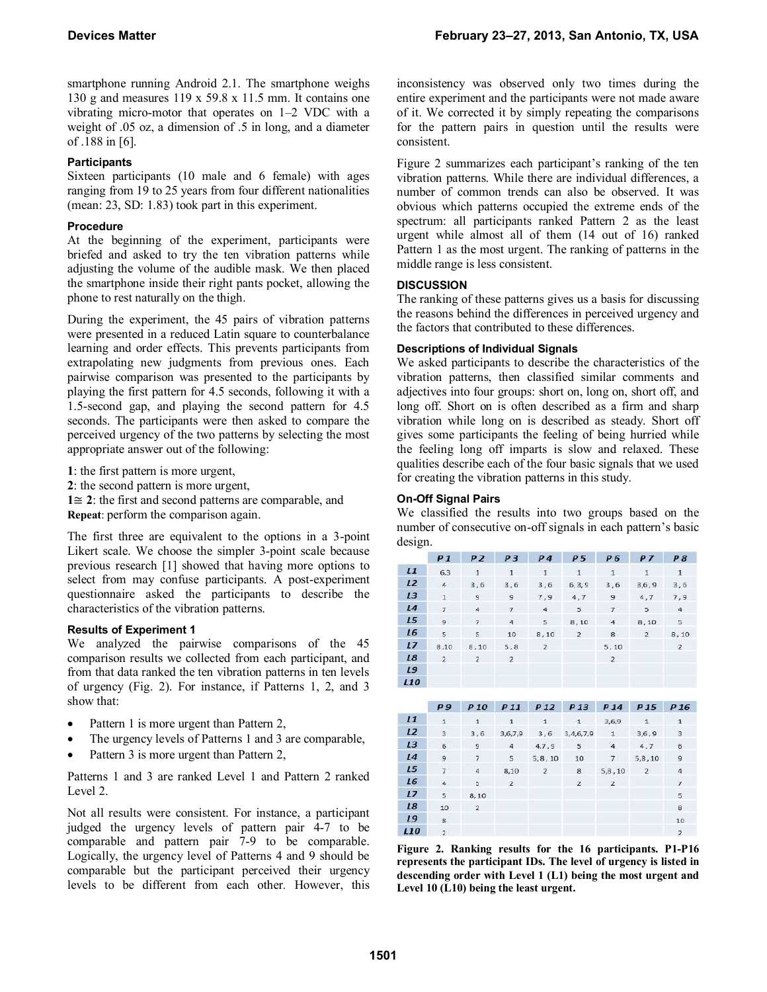smartphone running Android 2.1. The smartphone weighs 130 g and measures 119 x 59.8 x 11.5 mm. It contains one vibrating micro-motor that operates on 1–2 VDC with a weight of .05 oz, a dimension of .5 in long, and a diameter of .188 in [6].

## **Participants**

Sixteen participants (10 male and 6 female) with ages ranging from 19 to 25 years from four different nationalities (mean: 23, SD: 1.83) took part in this experiment.

## **Procedure**

At the beginning of the experiment, participants were briefed and asked to try the ten vibration patterns while adjusting the volume of the audible mask. We then placed the smartphone inside their right pants pocket, allowing the phone to rest naturally on the thigh.

During the experiment, the 45 pairs of vibration patterns were presented in a reduced Latin square to counterbalance learning and order effects. This prevents participants from extrapolating new judgments from previous ones. Each pairwise comparison was presented to the participants by playing the first pattern for 4.5 seconds, following it with a 1.5-second gap, and playing the second pattern for 4.5 seconds. The participants were then asked to compare the perceived urgency of the two patterns by selecting the most appropriate answer out of the following:

**1**: the first pattern is more urgent,

**2**: the second pattern is more urgent,

**1 2**: the first and second patterns are comparable, and **Repeat**: perform the comparison again.

The first three are equivalent to the options in a 3-point Likert scale. We choose the simpler 3-point scale because previous research [1] showed that having more options to select from may confuse participants. A post-experiment questionnaire asked the participants to describe the characteristics of the vibration patterns.

#### **Results of Experiment 1**

We analyzed the pairwise comparisons of the 45 comparison results we collected from each participant, and from that data ranked the ten vibration patterns in ten levels of urgency (Fig. 2). For instance, if Patterns 1, 2, and 3 show that:

- Pattern 1 is more urgent than Pattern 2,
- The urgency levels of Patterns 1 and 3 are comparable,
- Pattern 3 is more urgent than Pattern 2,

Patterns 1 and 3 are ranked Level 1 and Pattern 2 ranked Level 2.

Not all results were consistent. For instance, a participant judged the urgency levels of pattern pair 4-7 to be comparable and pattern pair 7-9 to be comparable. Logically, the urgency level of Patterns 4 and 9 should be comparable but the participant perceived their urgency levels to be different from each other*.* However, this inconsistency was observed only two times during the entire experiment and the participants were not made aware of it. We corrected it by simply repeating the comparisons for the pattern pairs in question until the results were consistent.

Figure 2 summarizes each participant's ranking of the ten vibration patterns. While there are individual differences, a number of common trends can also be observed. It was obvious which patterns occupied the extreme ends of the spectrum: all participants ranked Pattern 2 as the least urgent while almost all of them (14 out of 16) ranked Pattern 1 as the most urgent. The ranking of patterns in the middle range is less consistent.

#### **DISCUSSION**

The ranking of these patterns gives us a basis for discussing the reasons behind the differences in perceived urgency and the factors that contributed to these differences.

#### **Descriptions of Individual Signals**

We asked participants to describe the characteristics of the vibration patterns, then classified similar comments and adjectives into four groups: short on, long on, short off, and long off. Short on is often described as a firm and sharp vibration while long on is described as steady. Short off gives some participants the feeling of being hurried while the feeling long off imparts is slow and relaxed. These qualities describe each of the four basic signals that we used for creating the vibration patterns in this study.

# **On-Off Signal Pairs**

We classified the results into two groups based on the number of consecutive on-off signals in each pattern's basic design.

|                 | P <sub>1</sub> | P <sub>2</sub> | P <sub>3</sub> | P <sub>4</sub> | P <sub>5</sub> | <b>P6</b>        | PZ             | P8             |
|-----------------|----------------|----------------|----------------|----------------|----------------|------------------|----------------|----------------|
| L1              | 6.3            | $\overline{1}$ | $\mathbf{1}$   | 1              | 1              | $\mathbf{1}$     | $\mathbf{1}$   | $\mathbf{1}$   |
| L2              | 4              | 3.6            | 3,6            | 3,6            | 6, 3, 9        | 3,6              | 3,6,9          | 3,6            |
| L3              | $\mathbf{1}$   | $\mathbf{q}$   | $\mathbf{q}$   | 7,9            | 4,7            | $\overline{9}$   | 4,7            | 7,9            |
| L4              | $\mathcal{I}$  | 4              | $\mathcal{I}$  | $\overline{4}$ | 5              | $\tau$           | 5              | $\overline{4}$ |
| 15              | $\mathbf{Q}$   | $\overline{I}$ | $\overline{a}$ | 5              | 8.10           | $\overline{4}$   | 8.10           | $\overline{5}$ |
| 16              | 5              | 5              | 10             | 8.10           | $\overline{2}$ | $\boldsymbol{8}$ | $\overline{2}$ | 8.10           |
| L7              | 8,10           | 8,10           | 5.8            | $\overline{2}$ |                | 5, 10            |                | $\overline{z}$ |
| 18              | $\overline{2}$ | $\overline{2}$ | $\overline{2}$ |                |                | $\overline{2}$   |                |                |
| L9              |                |                |                |                |                |                  |                |                |
| L <sub>10</sub> |                |                |                |                |                |                  |                |                |

|                 | P <sub>9</sub> | P <sub>10</sub> | <b>P11</b>     | P <sub>12</sub> | P <sub>13</sub> | P <sub>14</sub> | P <sub>15</sub> | P <sub>16</sub>         |
|-----------------|----------------|-----------------|----------------|-----------------|-----------------|-----------------|-----------------|-------------------------|
| L1              | $\mathbf{1}$   | $\mathbf{1}$    | 1              | $\mathbf 1$     | 1.              | 3,6.9           | $\mathbf{1}$    | $\mathbf 1$             |
| L2              | 3              | 3,6             | 3,6,7,9        | 3.6             | 3,4,6,7,9       | 土               | 3,6,9           | $\overline{\mathbf{3}}$ |
| L3              | $\sigma$       | $\overline{9}$  | $\overline{4}$ | 4,7,9           | 5 <sub>5</sub>  | $\overline{4}$  | 4,7             | $\overline{6}$          |
| L4              | 9              | $\overline{7}$  | 5              | 5, 8, 10        | 10              | $\overline{7}$  | 5.8,10          | 9                       |
| L5              | $\overline{7}$ | $\ddot{a}$      | 8.10           | $\overline{2}$  | 8               | 5.8.10          | $\overline{2}$  | $\overline{a}$          |
| 16              | $\overline{4}$ | 5               | $\overline{2}$ |                 | $\overline{2}$  | $\overline{2}$  |                 | 7                       |
| L7              | 5              | 8.10            |                |                 |                 |                 |                 | 5                       |
| 18              | 10             | $\overline{2}$  |                |                 |                 |                 |                 | 8                       |
| L9              | 8              |                 |                |                 |                 |                 |                 | 10                      |
| L <sub>10</sub> | $\overline{2}$ |                 |                |                 |                 |                 |                 | $\overline{2}$          |

**Figure 2. Ranking results for the 16 participants. P1-P16 represents the participant IDs. The level of urgency is listed in descending order with Level 1 (L1) being the most urgent and Level 10 (L10) being the least urgent.**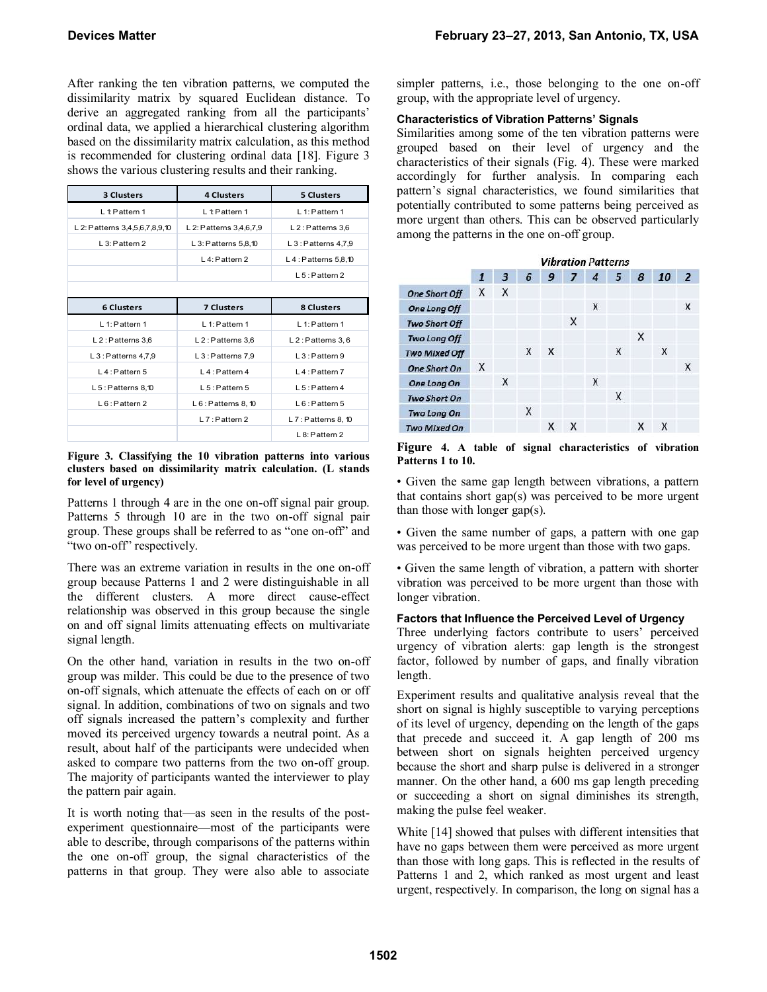After ranking the ten vibration patterns, we computed the dissimilarity matrix by squared Euclidean distance. To derive an aggregated ranking from all the participants' ordinal data, we applied a hierarchical clustering algorithm based on the dissimilarity matrix calculation, as this method is recommended for clustering ordinal data [18]. Figure 3 shows the various clustering results and their ranking.

| <b>3 Clusters</b>              | <b>4 Clusters</b>       | <b>5 Clusters</b>       |  |  |
|--------------------------------|-------------------------|-------------------------|--|--|
| L 1 Pattern 1                  | L 1: Pattern 1          | L 1: Pattern 1          |  |  |
| L 2: Patterns 3,4,5,6,7,8,9,10 | L 2: Patterns 3.4.6.7.9 | $L2$ : Patterns 3.6     |  |  |
| $L$ 3: Pattern 2               | $L$ 3: Patterns 5,8,10  | $L3$ : Patterns 4,7,9   |  |  |
|                                | $L$ 4: Pattern 2        | $L$ 4 : Patterns 5.8.10 |  |  |
|                                |                         | $L 5:$ Pattern 2        |  |  |
|                                |                         |                         |  |  |
| <b>6 Clusters</b>              | <b>7 Clusters</b>       | <b>8 Clusters</b>       |  |  |
| L 1: Pattern 1                 | L 1: Pattern 1          | L 1: Pattern 1          |  |  |
| L 2: Patterns 3.6              | $L2$ : Patterns 3.6     | $L2$ : Patterns 3.6     |  |  |
| $L3$ : Patterns 4.7.9          | L3: Patterns 7.9        | $L3$ : Pattern 9        |  |  |
| $L$ 4 : Pattern 5              | $L$ 4 : Pattern 4       | $L$ 4 : Pattern 7       |  |  |
| $L 5$ : Patterns 8.10          | $L 5:$ Pattern 5        | $L 5:$ Pattern 4        |  |  |
| $L 6:$ Pattern 2               | $L 6$ : Patterns 8, 10  | $L 6:$ Pattern 5        |  |  |
|                                | $L7:$ Pattern 2         | $L$ 7 : Patterns 8, 10  |  |  |
|                                |                         | $L$ 8: Pattern 2        |  |  |

#### **Figure 3. Classifying the 10 vibration patterns into various clusters based on dissimilarity matrix calculation. (L stands for level of urgency)**

Patterns 1 through 4 are in the one on-off signal pair group. Patterns 5 through 10 are in the two on-off signal pair group. These groups shall be referred to as "one on-off" and "two on-off" respectively.

There was an extreme variation in results in the one on-off group because Patterns 1 and 2 were distinguishable in all the different clusters. A more direct cause-effect relationship was observed in this group because the single on and off signal limits attenuating effects on multivariate signal length.

On the other hand, variation in results in the two on-off group was milder. This could be due to the presence of two on-off signals, which attenuate the effects of each on or off signal. In addition, combinations of two on signals and two off signals increased the pattern's complexity and further moved its perceived urgency towards a neutral point. As a result, about half of the participants were undecided when asked to compare two patterns from the two on-off group. The majority of participants wanted the interviewer to play the pattern pair again.

It is worth noting that—as seen in the results of the postexperiment questionnaire—most of the participants were able to describe, through comparisons of the patterns within the one on-off group, the signal characteristics of the patterns in that group. They were also able to associate

simpler patterns, i.e., those belonging to the one on-off group, with the appropriate level of urgency.

#### **Characteristics of Vibration Patterns' Signals**

Similarities among some of the ten vibration patterns were grouped based on their level of urgency and the characteristics of their signals (Fig. 4). These were marked accordingly for further analysis. In comparing each pattern's signal characteristics, we found similarities that potentially contributed to some patterns being perceived as more urgent than others. This can be observed particularly among the patterns in the one on-off group.

|                      | <b>Vibration Patterns</b> |                         |   |   |                |   |   |   |    |                |
|----------------------|---------------------------|-------------------------|---|---|----------------|---|---|---|----|----------------|
|                      | 1                         | $\overline{\mathbf{3}}$ | 6 | 9 | $\overline{z}$ | 4 | 5 | 8 | 10 | $\overline{2}$ |
| One Short Off        | X                         | X                       |   |   |                |   |   |   |    |                |
| One Long Off         |                           |                         |   |   |                | X |   |   |    | X              |
| <b>Two Short Off</b> |                           |                         |   |   | X              |   |   |   |    |                |
| Two Long Off         |                           |                         |   |   |                |   |   | X |    |                |
| Two Mixed Off        |                           |                         | X | X |                |   | X |   | X  |                |
| One Short On         | X                         |                         |   |   |                |   |   |   |    | χ              |
| One Long On          |                           | X                       |   |   |                | X |   |   |    |                |
| <b>Two Short On</b>  |                           |                         |   |   |                |   | X |   |    |                |
| <b>Two Long On</b>   |                           |                         | X |   |                |   |   |   |    |                |
| <b>Two Mixed On</b>  |                           |                         |   | x | X              |   |   | x | х  |                |

**Figure 4. A table of signal characteristics of vibration Patterns 1 to 10.**

• Given the same gap length between vibrations, a pattern that contains short gap(s) was perceived to be more urgent than those with longer gap(s).

• Given the same number of gaps, a pattern with one gap was perceived to be more urgent than those with two gaps.

• Given the same length of vibration, a pattern with shorter vibration was perceived to be more urgent than those with longer vibration.

#### **Factors that Influence the Perceived Level of Urgency**

Three underlying factors contribute to users' perceived urgency of vibration alerts: gap length is the strongest factor, followed by number of gaps, and finally vibration length.

Experiment results and qualitative analysis reveal that the short on signal is highly susceptible to varying perceptions of its level of urgency, depending on the length of the gaps that precede and succeed it. A gap length of 200 ms between short on signals heighten perceived urgency because the short and sharp pulse is delivered in a stronger manner. On the other hand, a 600 ms gap length preceding or succeeding a short on signal diminishes its strength, making the pulse feel weaker.

White [14] showed that pulses with different intensities that have no gaps between them were perceived as more urgent than those with long gaps. This is reflected in the results of Patterns 1 and 2, which ranked as most urgent and least urgent, respectively. In comparison, the long on signal has a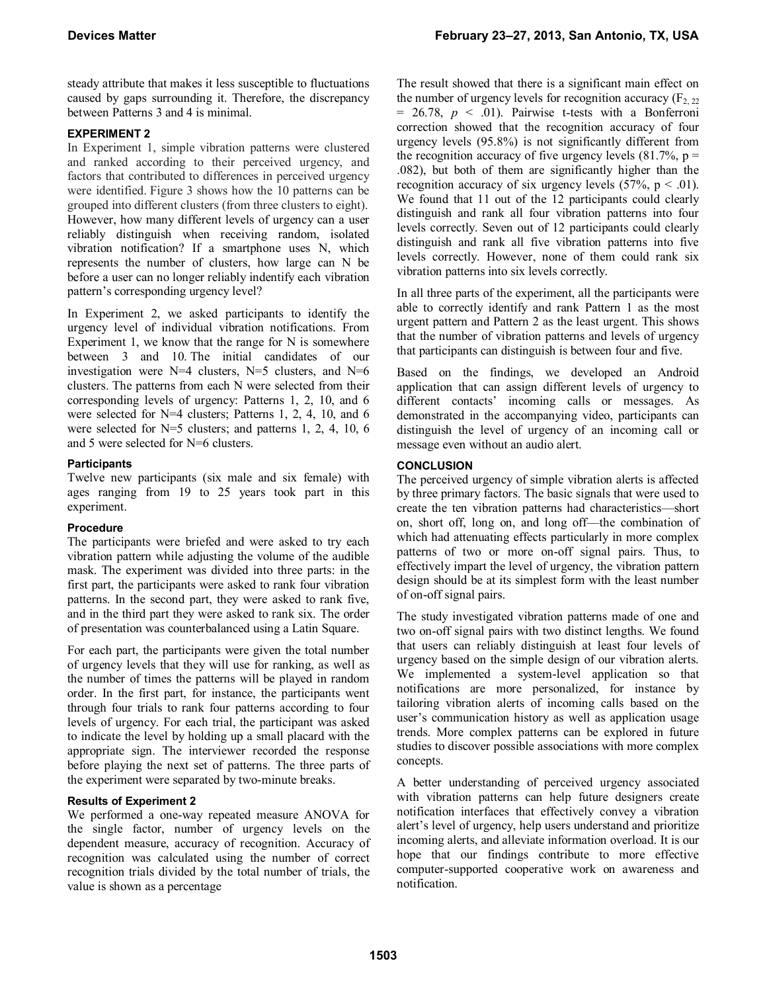steady attribute that makes it less susceptible to fluctuations caused by gaps surrounding it. Therefore, the discrepancy between Patterns 3 and 4 is minimal.

# **EXPERIMENT 2**

In Experiment 1, simple vibration patterns were clustered and ranked according to their perceived urgency, and factors that contributed to differences in perceived urgency were identified. Figure 3 shows how the 10 patterns can be grouped into different clusters (from three clusters to eight). However, how many different levels of urgency can a user reliably distinguish when receiving random, isolated vibration notification? If a smartphone uses N, which represents the number of clusters, how large can N be before a user can no longer reliably indentify each vibration pattern's corresponding urgency level?

In Experiment 2, we asked participants to identify the urgency level of individual vibration notifications. From Experiment 1, we know that the range for N is somewhere between 3 and 10. The initial candidates of our investigation were  $N=4$  clusters,  $N=5$  clusters, and  $N=6$ clusters. The patterns from each N were selected from their corresponding levels of urgency: Patterns 1, 2, 10, and 6 were selected for N=4 clusters; Patterns 1, 2, 4, 10, and 6 were selected for N=5 clusters; and patterns 1, 2, 4, 10, 6 and 5 were selected for N=6 clusters.

# **Participants**

Twelve new participants (six male and six female) with ages ranging from 19 to 25 years took part in this experiment.

# **Procedure**

The participants were briefed and were asked to try each vibration pattern while adjusting the volume of the audible mask. The experiment was divided into three parts: in the first part, the participants were asked to rank four vibration patterns. In the second part, they were asked to rank five, and in the third part they were asked to rank six. The order of presentation was counterbalanced using a Latin Square.

For each part, the participants were given the total number of urgency levels that they will use for ranking, as well as the number of times the patterns will be played in random order. In the first part, for instance, the participants went through four trials to rank four patterns according to four levels of urgency. For each trial, the participant was asked to indicate the level by holding up a small placard with the appropriate sign. The interviewer recorded the response before playing the next set of patterns. The three parts of the experiment were separated by two-minute breaks.

# **Results of Experiment 2**

We performed a one-way repeated measure ANOVA for the single factor, number of urgency levels on the dependent measure, accuracy of recognition. Accuracy of recognition was calculated using the number of correct recognition trials divided by the total number of trials, the value is shown as a percentage

The result showed that there is a significant main effect on the number of urgency levels for recognition accuracy ( $F_2$ ,  $22$ )  $= 26.78$ ,  $p < .01$ ). Pairwise t-tests with a Bonferroni correction showed that the recognition accuracy of four urgency levels (95.8%) is not significantly different from the recognition accuracy of five urgency levels  $(81.7\% , p =$ .082), but both of them are significantly higher than the recognition accuracy of six urgency levels  $(57\%, p < .01)$ . We found that 11 out of the 12 participants could clearly distinguish and rank all four vibration patterns into four levels correctly. Seven out of 12 participants could clearly distinguish and rank all five vibration patterns into five levels correctly. However, none of them could rank six vibration patterns into six levels correctly.

In all three parts of the experiment, all the participants were able to correctly identify and rank Pattern 1 as the most urgent pattern and Pattern 2 as the least urgent. This shows that the number of vibration patterns and levels of urgency that participants can distinguish is between four and five.

Based on the findings, we developed an Android application that can assign different levels of urgency to different contacts' incoming calls or messages. As demonstrated in the accompanying video, participants can distinguish the level of urgency of an incoming call or message even without an audio alert.

# **CONCLUSION**

The perceived urgency of simple vibration alerts is affected by three primary factors. The basic signals that were used to create the ten vibration patterns had characteristics—short on, short off, long on, and long off—the combination of which had attenuating effects particularly in more complex patterns of two or more on-off signal pairs. Thus, to effectively impart the level of urgency, the vibration pattern design should be at its simplest form with the least number of on-off signal pairs.

The study investigated vibration patterns made of one and two on-off signal pairs with two distinct lengths. We found that users can reliably distinguish at least four levels of urgency based on the simple design of our vibration alerts. We implemented a system-level application so that notifications are more personalized, for instance by tailoring vibration alerts of incoming calls based on the user's communication history as well as application usage trends. More complex patterns can be explored in future studies to discover possible associations with more complex concepts.

A better understanding of perceived urgency associated with vibration patterns can help future designers create notification interfaces that effectively convey a vibration alert's level of urgency, help users understand and prioritize incoming alerts, and alleviate information overload. It is our hope that our findings contribute to more effective computer-supported cooperative work on awareness and notification.